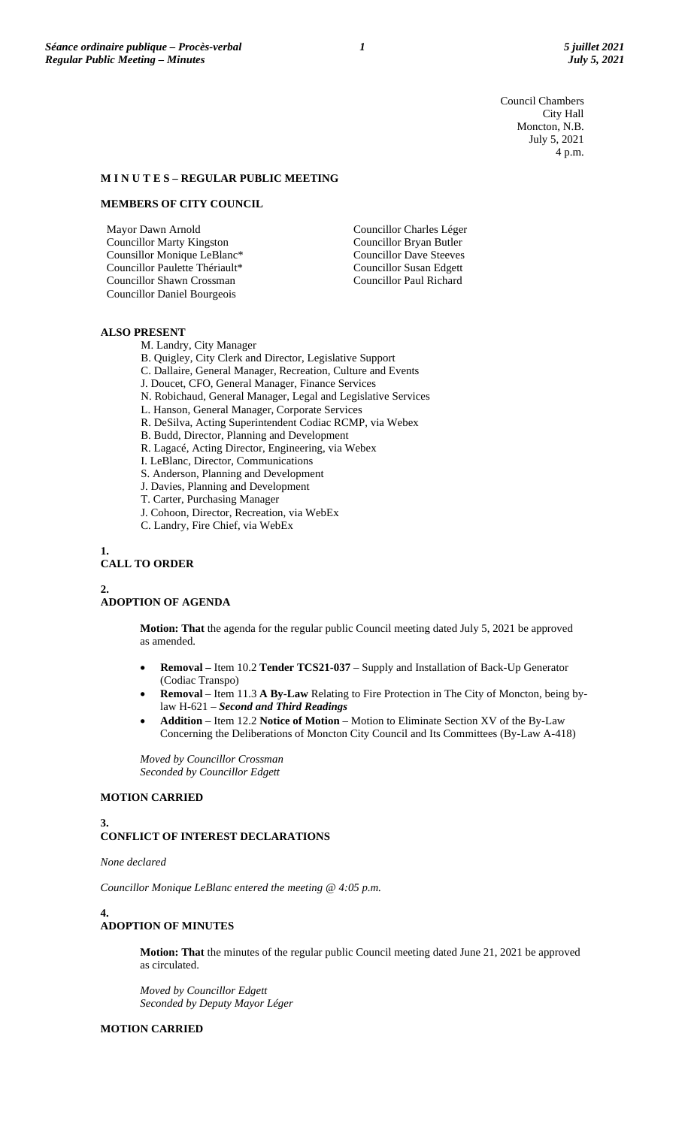Council Chambers City Hall Moncton, N.B. July 5, 2021 4 p.m.

## **M I N U T E S – REGULAR PUBLIC MEETING**

# **MEMBERS OF CITY COUNCIL**

Mayor Dawn Arnold Councillor Marty Kingston Counsillor Monique LeBlanc\* Councillor Paulette Thériault\* Councillor Shawn Crossman Councillor Daniel Bourgeois

Councillor Charles Léger Councillor Bryan Butler Councillor Dave Steeves Councillor Susan Edgett Councillor Paul Richard

# **ALSO PRESENT**

M. Landry, City Manager

- B. Quigley, City Clerk and Director, Legislative Support
- C. Dallaire, General Manager, Recreation, Culture and Events
- J. Doucet, CFO, General Manager, Finance Services
- N. Robichaud, General Manager, Legal and Legislative Services
- L. Hanson, General Manager, Corporate Services
- R. DeSilva, Acting Superintendent Codiac RCMP, via Webex
- B. Budd, Director, Planning and Development
- R. Lagacé, Acting Director, Engineering, via Webex
- I. LeBlanc, Director, Communications
- S. Anderson, Planning and Development
- J. Davies, Planning and Development
- T. Carter, Purchasing Manager
- J. Cohoon, Director, Recreation, via WebEx
- C. Landry, Fire Chief, via WebEx
- **1.**

# **CALL TO ORDER**

**2.**

### **ADOPTION OF AGENDA**

**Motion: That** the agenda for the regular public Council meeting dated July 5, 2021 be approved as amended.

- **Removal –** Item 10.2 **Tender TCS21-037** Supply and Installation of Back-Up Generator (Codiac Transpo)
- **Removal** Item 11.3 **A By-Law** Relating to Fire Protection in The City of Moncton, being bylaw H-621 – *Second and Third Readings*
- **Addition** Item 12.2 **Notice of Motion** Motion to Eliminate Section XV of the By-Law Concerning the Deliberations of Moncton City Council and Its Committees (By-Law A-418)

*Moved by Councillor Crossman Seconded by Councillor Edgett*

# **MOTION CARRIED**

**3.**

# **CONFLICT OF INTEREST DECLARATIONS**

*None declared*

*Councillor Monique LeBlanc entered the meeting @ 4:05 p.m.*

# **4.**

# **ADOPTION OF MINUTES**

**Motion: That** the minutes of the regular public Council meeting dated June 21, 2021 be approved as circulated.

*Moved by Councillor Edgett Seconded by Deputy Mayor Léger*

### **MOTION CARRIED**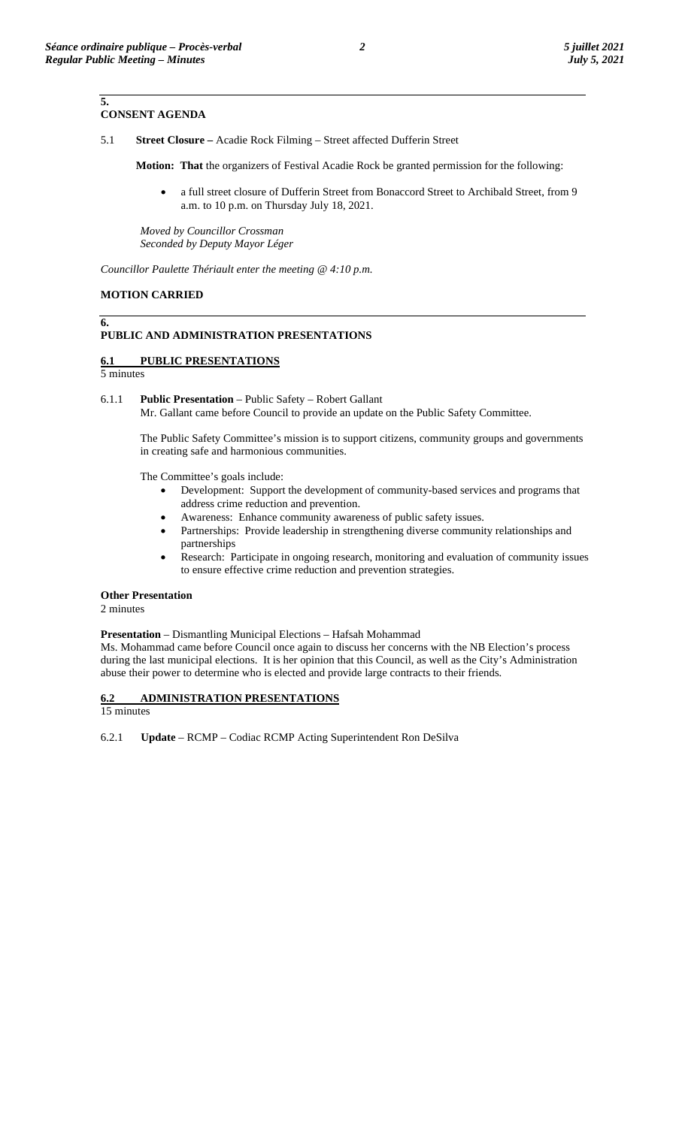**5.**

# **CONSENT AGENDA**

5.1 **Street Closure –** Acadie Rock Filming – Street affected Dufferin Street

**Motion: That** the organizers of Festival Acadie Rock be granted permission for the following:

• a full street closure of Dufferin Street from Bonaccord Street to Archibald Street, from 9 a.m. to 10 p.m. on Thursday July 18, 2021.

*Moved by Councillor Crossman Seconded by Deputy Mayor Léger*

*Councillor Paulette Thériault enter the meeting @ 4:10 p.m.*

# **MOTION CARRIED**

### **6. PUBLIC AND ADMINISTRATION PRESENTATIONS**

# **6.1 PUBLIC PRESENTATIONS**

5 minutes

6.1.1 **Public Presentation** – Public Safety – Robert Gallant Mr. Gallant came before Council to provide an update on the Public Safety Committee.

The Public Safety Committee's mission is to support citizens, community groups and governments in creating safe and harmonious communities.

The Committee's goals include:

- Development: Support the development of community-based services and programs that address crime reduction and prevention.
- Awareness: Enhance community awareness of public safety issues.
- Partnerships: Provide leadership in strengthening diverse community relationships and partnerships
- Research: Participate in ongoing research, monitoring and evaluation of community issues to ensure effective crime reduction and prevention strategies.

## **Other Presentation**

2 minutes

# **Presentation** – Dismantling Municipal Elections – Hafsah Mohammad

Ms. Mohammad came before Council once again to discuss her concerns with the NB Election's process during the last municipal elections. It is her opinion that this Council, as well as the City's Administration abuse their power to determine who is elected and provide large contracts to their friends.

# **6.2 ADMINISTRATION PRESENTATIONS**

15 minutes

6.2.1 **Update** – RCMP – Codiac RCMP Acting Superintendent Ron DeSilva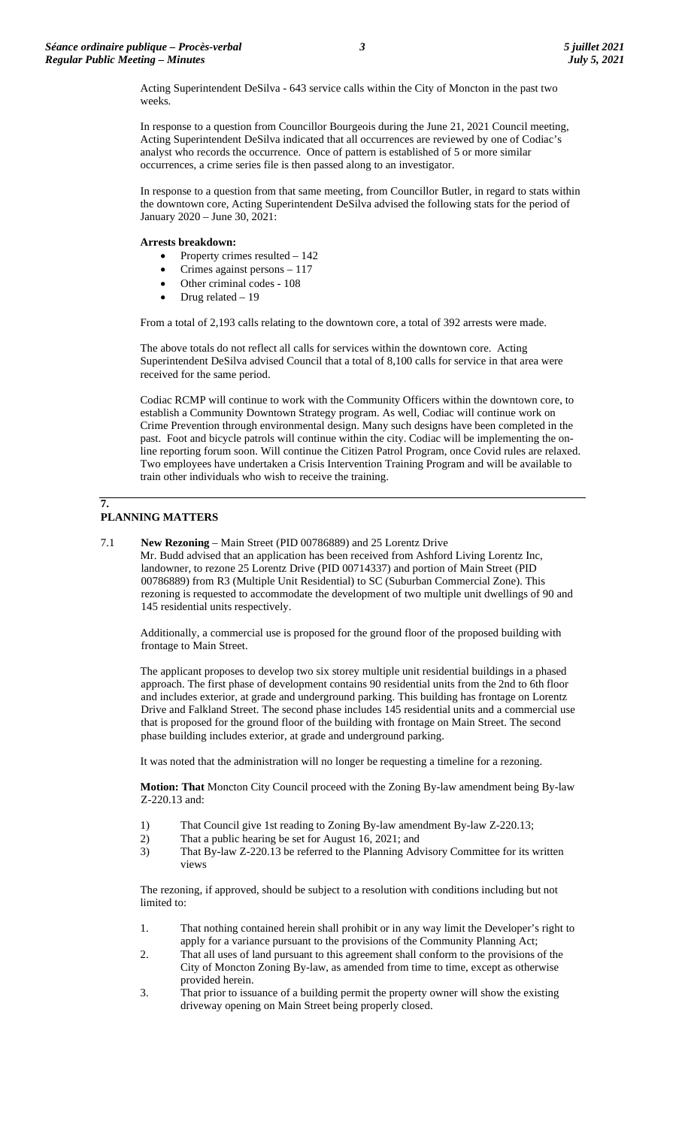Acting Superintendent DeSilva - 643 service calls within the City of Moncton in the past two weeks.

In response to a question from Councillor Bourgeois during the June 21, 2021 Council meeting, Acting Superintendent DeSilva indicated that all occurrences are reviewed by one of Codiac's analyst who records the occurrence. Once of pattern is established of 5 or more similar occurrences, a crime series file is then passed along to an investigator.

In response to a question from that same meeting, from Councillor Butler, in regard to stats within the downtown core, Acting Superintendent DeSilva advised the following stats for the period of January 2020 – June 30, 2021:

### **Arrests breakdown:**

- Property crimes resulted 142
- Crimes against persons 117
- Other criminal codes 108
- Drug related 19

From a total of 2,193 calls relating to the downtown core, a total of 392 arrests were made.

The above totals do not reflect all calls for services within the downtown core. Acting Superintendent DeSilva advised Council that a total of 8,100 calls for service in that area were received for the same period.

Codiac RCMP will continue to work with the Community Officers within the downtown core, to establish a Community Downtown Strategy program. As well, Codiac will continue work on Crime Prevention through environmental design. Many such designs have been completed in the past. Foot and bicycle patrols will continue within the city. Codiac will be implementing the online reporting forum soon. Will continue the Citizen Patrol Program, once Covid rules are relaxed. Two employees have undertaken a Crisis Intervention Training Program and will be available to train other individuals who wish to receive the training.

### **7. PLANNING MATTERS**

7.1 **New Rezoning** – Main Street (PID 00786889) and 25 Lorentz Drive

Mr. Budd advised that an application has been received from Ashford Living Lorentz Inc, landowner, to rezone 25 Lorentz Drive (PID 00714337) and portion of Main Street (PID 00786889) from R3 (Multiple Unit Residential) to SC (Suburban Commercial Zone). This rezoning is requested to accommodate the development of two multiple unit dwellings of 90 and 145 residential units respectively.

Additionally, a commercial use is proposed for the ground floor of the proposed building with frontage to Main Street.

The applicant proposes to develop two six storey multiple unit residential buildings in a phased approach. The first phase of development contains 90 residential units from the 2nd to 6th floor and includes exterior, at grade and underground parking. This building has frontage on Lorentz Drive and Falkland Street. The second phase includes 145 residential units and a commercial use that is proposed for the ground floor of the building with frontage on Main Street. The second phase building includes exterior, at grade and underground parking.

It was noted that the administration will no longer be requesting a timeline for a rezoning.

**Motion: That** Moncton City Council proceed with the Zoning By-law amendment being By-law Z-220.13 and:

- 1) That Council give 1st reading to Zoning By-law amendment By-law Z-220.13;<br>2) That a public hearing be set for August 16, 2021; and
- That a public hearing be set for August 16, 2021; and
- 3) That By-law Z-220.13 be referred to the Planning Advisory Committee for its written views

The rezoning, if approved, should be subject to a resolution with conditions including but not limited to:

- 1. That nothing contained herein shall prohibit or in any way limit the Developer's right to apply for a variance pursuant to the provisions of the Community Planning Act;
- 2. That all uses of land pursuant to this agreement shall conform to the provisions of the City of Moncton Zoning By-law, as amended from time to time, except as otherwise provided herein.
- 3. That prior to issuance of a building permit the property owner will show the existing driveway opening on Main Street being properly closed.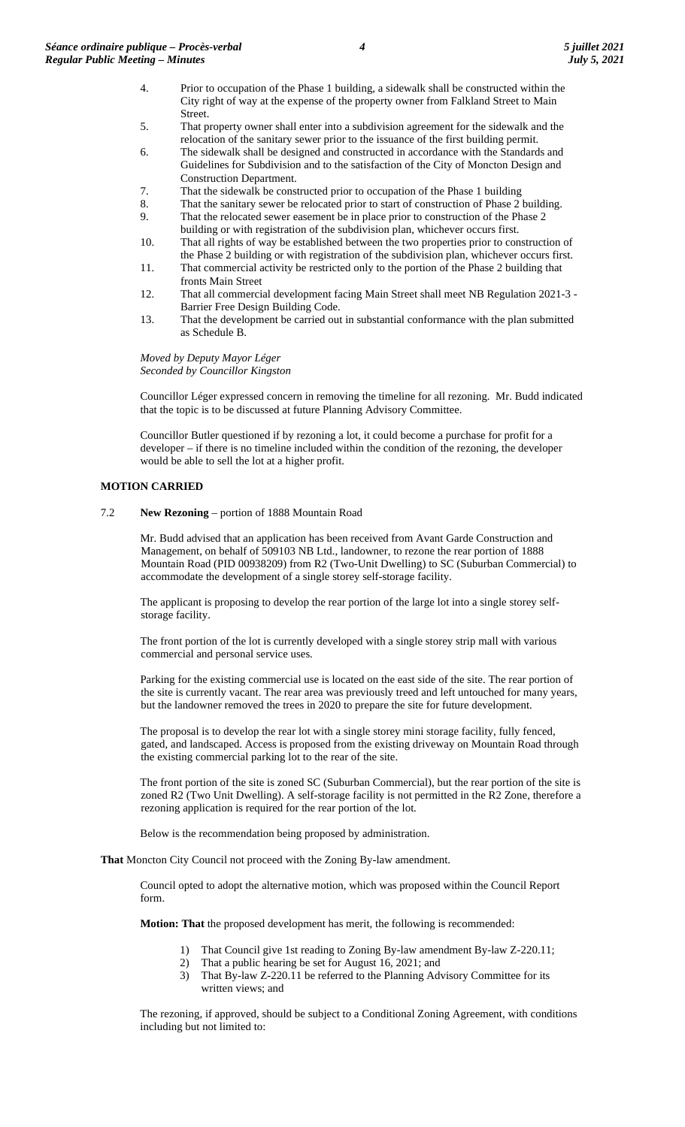- 4. Prior to occupation of the Phase 1 building, a sidewalk shall be constructed within the City right of way at the expense of the property owner from Falkland Street to Main Street.
- 5. That property owner shall enter into a subdivision agreement for the sidewalk and the relocation of the sanitary sewer prior to the issuance of the first building permit.
- 6. The sidewalk shall be designed and constructed in accordance with the Standards and Guidelines for Subdivision and to the satisfaction of the City of Moncton Design and Construction Department.
- 7. That the sidewalk be constructed prior to occupation of the Phase 1 building
- 8. That the sanitary sewer be relocated prior to start of construction of Phase 2 building.
- 9. That the relocated sewer easement be in place prior to construction of the Phase 2 building or with registration of the subdivision plan, whichever occurs first.
- 10. That all rights of way be established between the two properties prior to construction of the Phase 2 building or with registration of the subdivision plan, whichever occurs first.
- 11. That commercial activity be restricted only to the portion of the Phase 2 building that fronts Main Street
- 12. That all commercial development facing Main Street shall meet NB Regulation 2021-3 Barrier Free Design Building Code.
- 13. That the development be carried out in substantial conformance with the plan submitted as Schedule B.

*Moved by Deputy Mayor Léger Seconded by Councillor Kingston*

Councillor Léger expressed concern in removing the timeline for all rezoning. Mr. Budd indicated that the topic is to be discussed at future Planning Advisory Committee.

Councillor Butler questioned if by rezoning a lot, it could become a purchase for profit for a developer – if there is no timeline included within the condition of the rezoning, the developer would be able to sell the lot at a higher profit.

# **MOTION CARRIED**

7.2 **New Rezoning** – portion of 1888 Mountain Road

Mr. Budd advised that an application has been received from Avant Garde Construction and Management, on behalf of 509103 NB Ltd., landowner, to rezone the rear portion of 1888 Mountain Road (PID 00938209) from R2 (Two-Unit Dwelling) to SC (Suburban Commercial) to accommodate the development of a single storey self-storage facility.

The applicant is proposing to develop the rear portion of the large lot into a single storey selfstorage facility.

The front portion of the lot is currently developed with a single storey strip mall with various commercial and personal service uses.

Parking for the existing commercial use is located on the east side of the site. The rear portion of the site is currently vacant. The rear area was previously treed and left untouched for many years, but the landowner removed the trees in 2020 to prepare the site for future development.

The proposal is to develop the rear lot with a single storey mini storage facility, fully fenced, gated, and landscaped. Access is proposed from the existing driveway on Mountain Road through the existing commercial parking lot to the rear of the site.

The front portion of the site is zoned SC (Suburban Commercial), but the rear portion of the site is zoned R2 (Two Unit Dwelling). A self-storage facility is not permitted in the R2 Zone, therefore a rezoning application is required for the rear portion of the lot.

Below is the recommendation being proposed by administration.

**That** Moncton City Council not proceed with the Zoning By-law amendment.

Council opted to adopt the alternative motion, which was proposed within the Council Report form.

**Motion: That** the proposed development has merit, the following is recommended:

- That Council give 1st reading to Zoning By-law amendment By-law Z-220.11;
- 2) That a public hearing be set for August 16, 2021; and
- 3) That By-law Z-220.11 be referred to the Planning Advisory Committee for its written views; and

The rezoning, if approved, should be subject to a Conditional Zoning Agreement, with conditions including but not limited to: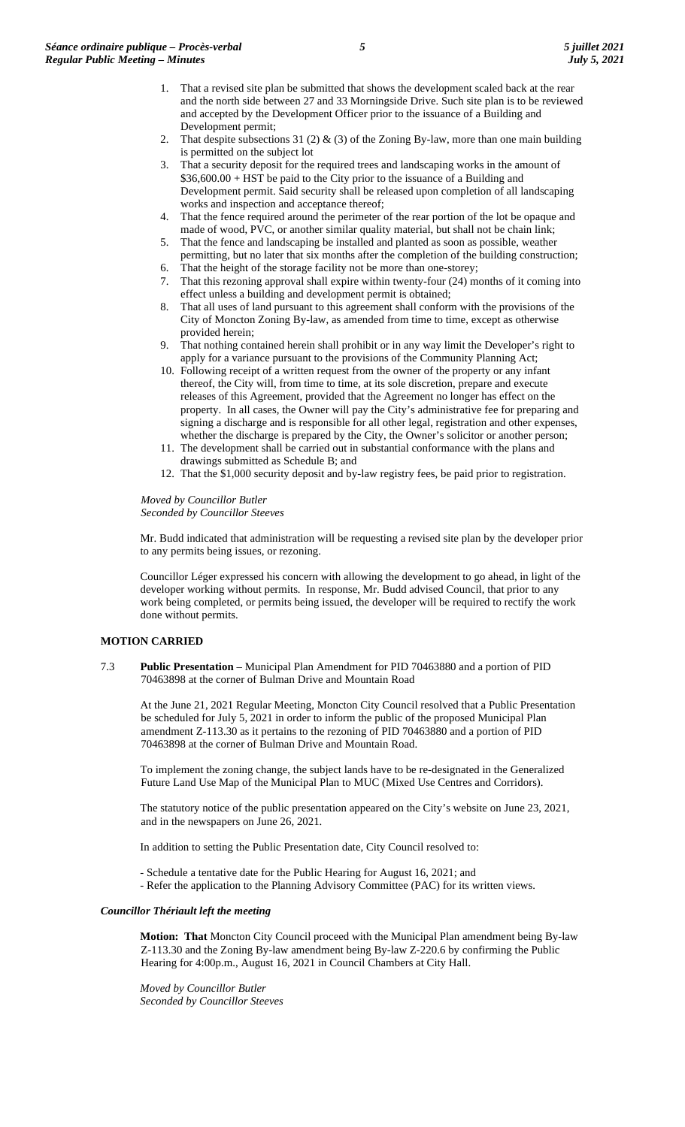- 1. That a revised site plan be submitted that shows the development scaled back at the rear and the north side between 27 and 33 Morningside Drive. Such site plan is to be reviewed and accepted by the Development Officer prior to the issuance of a Building and Development permit;
- 2. That despite subsections 31 (2) & (3) of the Zoning By-law, more than one main building is permitted on the subject lot
- That a security deposit for the required trees and landscaping works in the amount of \$36,600.00 + HST be paid to the City prior to the issuance of a Building and Development permit. Said security shall be released upon completion of all landscaping works and inspection and acceptance thereof;
- 4. That the fence required around the perimeter of the rear portion of the lot be opaque and made of wood, PVC, or another similar quality material, but shall not be chain link;
- 5. That the fence and landscaping be installed and planted as soon as possible, weather permitting, but no later that six months after the completion of the building construction;
- 6. That the height of the storage facility not be more than one-storey; 7. That this rezoning approval shall expire within twenty-four (24) months of it coming into
- effect unless a building and development permit is obtained; 8. That all uses of land pursuant to this agreement shall conform with the provisions of the
- City of Moncton Zoning By-law, as amended from time to time, except as otherwise provided herein;
- 9. That nothing contained herein shall prohibit or in any way limit the Developer's right to apply for a variance pursuant to the provisions of the Community Planning Act;
- 10. Following receipt of a written request from the owner of the property or any infant thereof, the City will, from time to time, at its sole discretion, prepare and execute releases of this Agreement, provided that the Agreement no longer has effect on the property. In all cases, the Owner will pay the City's administrative fee for preparing and signing a discharge and is responsible for all other legal, registration and other expenses, whether the discharge is prepared by the City, the Owner's solicitor or another person;
- 11. The development shall be carried out in substantial conformance with the plans and drawings submitted as Schedule B; and
- 12. That the \$1,000 security deposit and by-law registry fees, be paid prior to registration.

*Moved by Councillor Butler Seconded by Councillor Steeves*

Mr. Budd indicated that administration will be requesting a revised site plan by the developer prior to any permits being issues, or rezoning.

Councillor Léger expressed his concern with allowing the development to go ahead, in light of the developer working without permits. In response, Mr. Budd advised Council, that prior to any work being completed, or permits being issued, the developer will be required to rectify the work done without permits.

# **MOTION CARRIED**

7.3 **Public Presentation** – Municipal Plan Amendment for PID 70463880 and a portion of PID 70463898 at the corner of Bulman Drive and Mountain Road

At the June 21, 2021 Regular Meeting, Moncton City Council resolved that a Public Presentation be scheduled for July 5, 2021 in order to inform the public of the proposed Municipal Plan amendment Z-113.30 as it pertains to the rezoning of PID 70463880 and a portion of PID 70463898 at the corner of Bulman Drive and Mountain Road.

To implement the zoning change, the subject lands have to be re-designated in the Generalized Future Land Use Map of the Municipal Plan to MUC (Mixed Use Centres and Corridors).

The statutory notice of the public presentation appeared on the City's website on June 23, 2021, and in the newspapers on June 26, 2021.

In addition to setting the Public Presentation date, City Council resolved to:

- Schedule a tentative date for the Public Hearing for August 16, 2021; and

- Refer the application to the Planning Advisory Committee (PAC) for its written views.

## *Councillor Thériault left the meeting*

**Motion: That** Moncton City Council proceed with the Municipal Plan amendment being By-law Z-113.30 and the Zoning By-law amendment being By-law Z-220.6 by confirming the Public Hearing for 4:00p.m., August 16, 2021 in Council Chambers at City Hall.

*Moved by Councillor Butler Seconded by Councillor Steeves*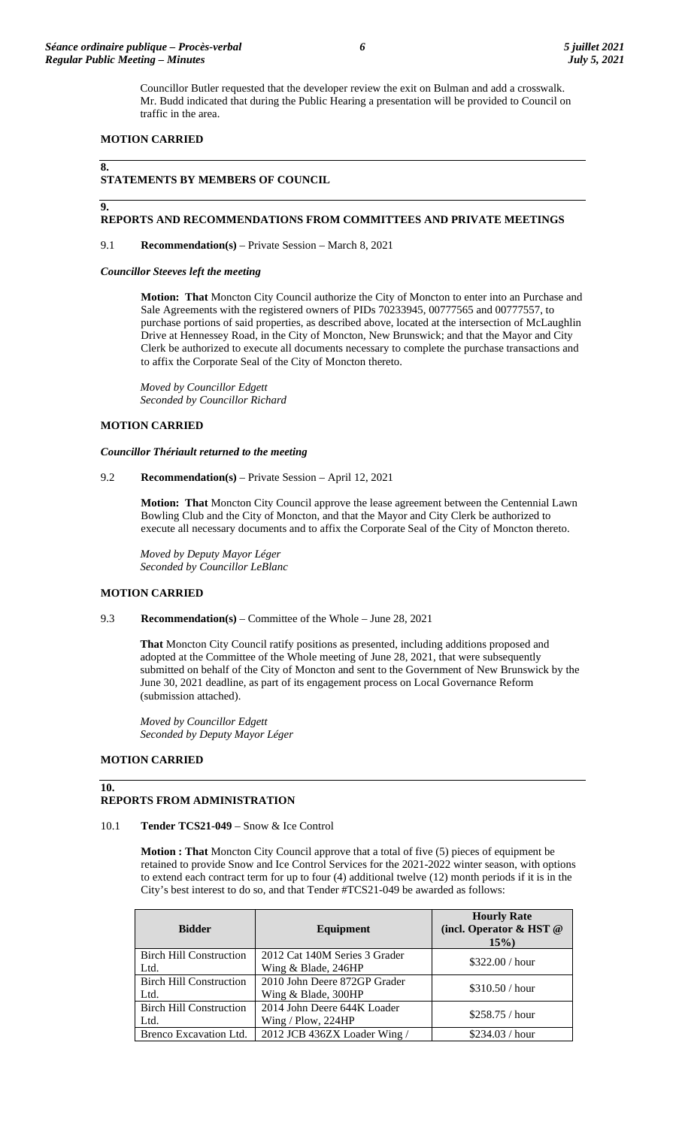#### **MOTION CARRIED**

#### **8.**

**9.**

### **STATEMENTS BY MEMBERS OF COUNCIL**

#### **REPORTS AND RECOMMENDATIONS FROM COMMITTEES AND PRIVATE MEETINGS**

9.1 **Recommendation(s)** – Private Session – March 8, 2021

*Councillor Steeves left the meeting*

**Motion: That** Moncton City Council authorize the City of Moncton to enter into an Purchase and Sale Agreements with the registered owners of PIDs 70233945, 00777565 and 00777557, to purchase portions of said properties, as described above, located at the intersection of McLaughlin Drive at Hennessey Road, in the City of Moncton, New Brunswick; and that the Mayor and City Clerk be authorized to execute all documents necessary to complete the purchase transactions and to affix the Corporate Seal of the City of Moncton thereto.

*Moved by Councillor Edgett Seconded by Councillor Richard*

# **MOTION CARRIED**

#### *Councillor Thériault returned to the meeting*

9.2 **Recommendation(s)** – Private Session – April 12, 2021

**Motion: That** Moncton City Council approve the lease agreement between the Centennial Lawn Bowling Club and the City of Moncton, and that the Mayor and City Clerk be authorized to execute all necessary documents and to affix the Corporate Seal of the City of Moncton thereto.

*Moved by Deputy Mayor Léger Seconded by Councillor LeBlanc*

### **MOTION CARRIED**

9.3 **Recommendation(s)** – Committee of the Whole – June 28, 2021

**That** Moncton City Council ratify positions as presented, including additions proposed and adopted at the Committee of the Whole meeting of June 28, 2021, that were subsequently submitted on behalf of the City of Moncton and sent to the Government of New Brunswick by the June 30, 2021 deadline, as part of its engagement process on Local Governance Reform (submission attached).

*Moved by Councillor Edgett Seconded by Deputy Mayor Léger*

# **MOTION CARRIED**

#### **10. REPORTS FROM ADMINISTRATION**

### 10.1 **Tender TCS21-049** – Snow & Ice Control

**Motion : That** Moncton City Council approve that a total of five (5) pieces of equipment be retained to provide Snow and Ice Control Services for the 2021-2022 winter season, with options to extend each contract term for up to four (4) additional twelve (12) month periods if it is in the City's best interest to do so, and that Tender #TCS21-049 be awarded as follows:

| <b>Bidder</b>                  | Equipment                     | <b>Hourly Rate</b><br>(incl. Operator & HST @<br>15% |
|--------------------------------|-------------------------------|------------------------------------------------------|
| <b>Birch Hill Construction</b> | 2012 Cat 140M Series 3 Grader | \$322.00 / hour                                      |
| Ltd.                           | Wing & Blade, 246HP           |                                                      |
| <b>Birch Hill Construction</b> | 2010 John Deere 872GP Grader  | \$310.50 / hour                                      |
| Ltd.                           | Wing & Blade, 300HP           |                                                      |
| <b>Birch Hill Construction</b> | 2014 John Deere 644K Loader   | \$258.75 / hour                                      |
| Ltd.                           | Wing / Plow, $224HP$          |                                                      |
| Brenco Excavation Ltd.         | 2012 JCB 436ZX Loader Wing /  | \$234.03 / hour                                      |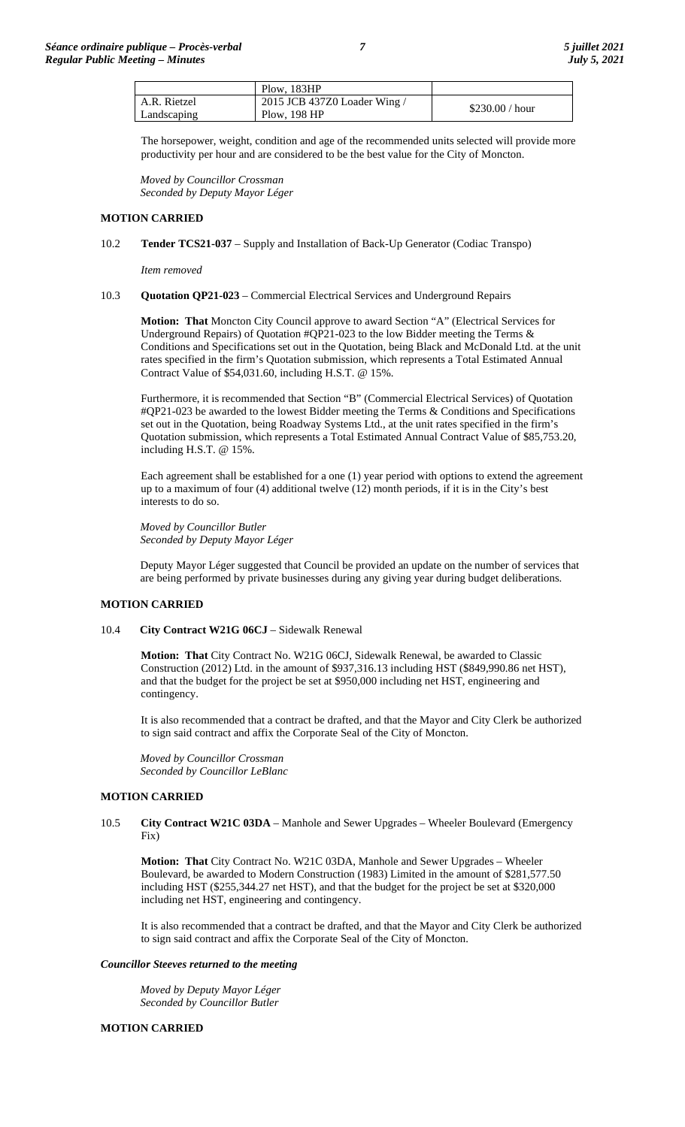|              | Plow. $183HP$                |                 |
|--------------|------------------------------|-----------------|
| A.R. Rietzel | 2015 JCB 437Z0 Loader Wing / | \$230.00 / hour |
| Landscaping  | Plow, 198 HP                 |                 |

The horsepower, weight, condition and age of the recommended units selected will provide more productivity per hour and are considered to be the best value for the City of Moncton.

*Moved by Councillor Crossman Seconded by Deputy Mayor Léger*

# **MOTION CARRIED**

10.2 **Tender TCS21-037** – Supply and Installation of Back-Up Generator (Codiac Transpo)

*Item removed*

### 10.3 **Quotation QP21-023** – Commercial Electrical Services and Underground Repairs

**Motion: That** Moncton City Council approve to award Section "A" (Electrical Services for Underground Repairs) of Quotation  $\#QP21-023$  to the low Bidder meeting the Terms & Conditions and Specifications set out in the Quotation, being Black and McDonald Ltd. at the unit rates specified in the firm's Quotation submission, which represents a Total Estimated Annual Contract Value of \$54,031.60, including H.S.T. @ 15%.

Furthermore, it is recommended that Section "B" (Commercial Electrical Services) of Quotation #QP21-023 be awarded to the lowest Bidder meeting the Terms & Conditions and Specifications set out in the Quotation, being Roadway Systems Ltd., at the unit rates specified in the firm's Quotation submission, which represents a Total Estimated Annual Contract Value of \$85,753.20, including H.S.T. @ 15%.

Each agreement shall be established for a one (1) year period with options to extend the agreement up to a maximum of four (4) additional twelve (12) month periods, if it is in the City's best interests to do so.

*Moved by Councillor Butler Seconded by Deputy Mayor Léger*

Deputy Mayor Léger suggested that Council be provided an update on the number of services that are being performed by private businesses during any giving year during budget deliberations.

## **MOTION CARRIED**

10.4 **City Contract W21G 06CJ** – Sidewalk Renewal

**Motion: That** City Contract No. W21G 06CJ, Sidewalk Renewal, be awarded to Classic Construction (2012) Ltd. in the amount of \$937,316.13 including HST (\$849,990.86 net HST), and that the budget for the project be set at \$950,000 including net HST, engineering and contingency.

It is also recommended that a contract be drafted, and that the Mayor and City Clerk be authorized to sign said contract and affix the Corporate Seal of the City of Moncton.

*Moved by Councillor Crossman Seconded by Councillor LeBlanc*

## **MOTION CARRIED**

10.5 **City Contract W21C 03DA** – Manhole and Sewer Upgrades – Wheeler Boulevard (Emergency Fix)

**Motion: That** City Contract No. W21C 03DA, Manhole and Sewer Upgrades – Wheeler Boulevard, be awarded to Modern Construction (1983) Limited in the amount of \$281,577.50 including HST (\$255,344.27 net HST), and that the budget for the project be set at \$320,000 including net HST, engineering and contingency.

It is also recommended that a contract be drafted, and that the Mayor and City Clerk be authorized to sign said contract and affix the Corporate Seal of the City of Moncton.

### *Councillor Steeves returned to the meeting*

*Moved by Deputy Mayor Léger Seconded by Councillor Butler*

## **MOTION CARRIED**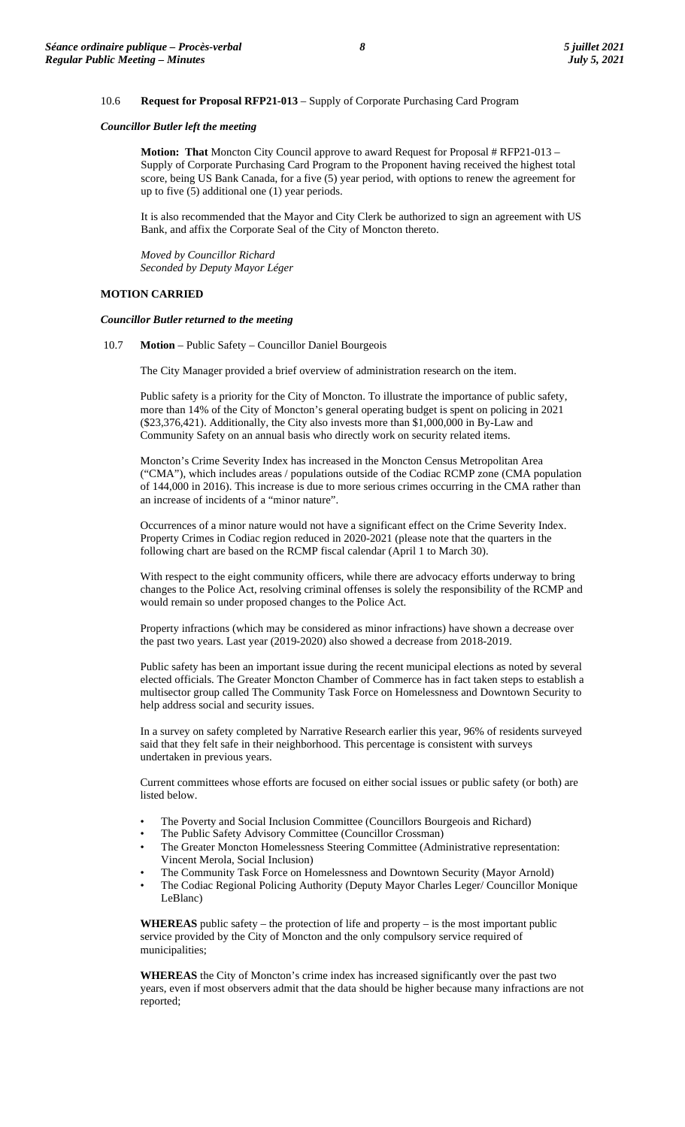### 10.6 **Request for Proposal RFP21-013** – Supply of Corporate Purchasing Card Program

### *Councillor Butler left the meeting*

**Motion: That** Moncton City Council approve to award Request for Proposal # RFP21-013 -Supply of Corporate Purchasing Card Program to the Proponent having received the highest total score, being US Bank Canada, for a five (5) year period, with options to renew the agreement for up to five (5) additional one (1) year periods.

It is also recommended that the Mayor and City Clerk be authorized to sign an agreement with US Bank, and affix the Corporate Seal of the City of Moncton thereto.

*Moved by Councillor Richard Seconded by Deputy Mayor Léger*

## **MOTION CARRIED**

### *Councillor Butler returned to the meeting*

10.7 **Motion** – Public Safety – Councillor Daniel Bourgeois

The City Manager provided a brief overview of administration research on the item.

Public safety is a priority for the City of Moncton. To illustrate the importance of public safety, more than 14% of the City of Moncton's general operating budget is spent on policing in 2021 (\$23,376,421). Additionally, the City also invests more than \$1,000,000 in By-Law and Community Safety on an annual basis who directly work on security related items.

Moncton's Crime Severity Index has increased in the Moncton Census Metropolitan Area ("CMA"), which includes areas / populations outside of the Codiac RCMP zone (CMA population of 144,000 in 2016). This increase is due to more serious crimes occurring in the CMA rather than an increase of incidents of a "minor nature".

Occurrences of a minor nature would not have a significant effect on the Crime Severity Index. Property Crimes in Codiac region reduced in 2020-2021 (please note that the quarters in the following chart are based on the RCMP fiscal calendar (April 1 to March 30).

With respect to the eight community officers, while there are advocacy efforts underway to bring changes to the Police Act, resolving criminal offenses is solely the responsibility of the RCMP and would remain so under proposed changes to the Police Act.

Property infractions (which may be considered as minor infractions) have shown a decrease over the past two years. Last year (2019-2020) also showed a decrease from 2018-2019.

Public safety has been an important issue during the recent municipal elections as noted by several elected officials. The Greater Moncton Chamber of Commerce has in fact taken steps to establish a multisector group called The Community Task Force on Homelessness and Downtown Security to help address social and security issues.

In a survey on safety completed by Narrative Research earlier this year, 96% of residents surveyed said that they felt safe in their neighborhood. This percentage is consistent with surveys undertaken in previous years.

Current committees whose efforts are focused on either social issues or public safety (or both) are listed below.

- The Poverty and Social Inclusion Committee (Councillors Bourgeois and Richard)
- The Public Safety Advisory Committee (Councillor Crossman)
- The Greater Moncton Homelessness Steering Committee (Administrative representation: Vincent Merola, Social Inclusion)
- The Community Task Force on Homelessness and Downtown Security (Mayor Arnold)
- The Codiac Regional Policing Authority (Deputy Mayor Charles Leger/ Councillor Monique LeBlanc)

**WHEREAS** public safety – the protection of life and property – is the most important public service provided by the City of Moncton and the only compulsory service required of municipalities;

**WHEREAS** the City of Moncton's crime index has increased significantly over the past two years, even if most observers admit that the data should be higher because many infractions are not reported;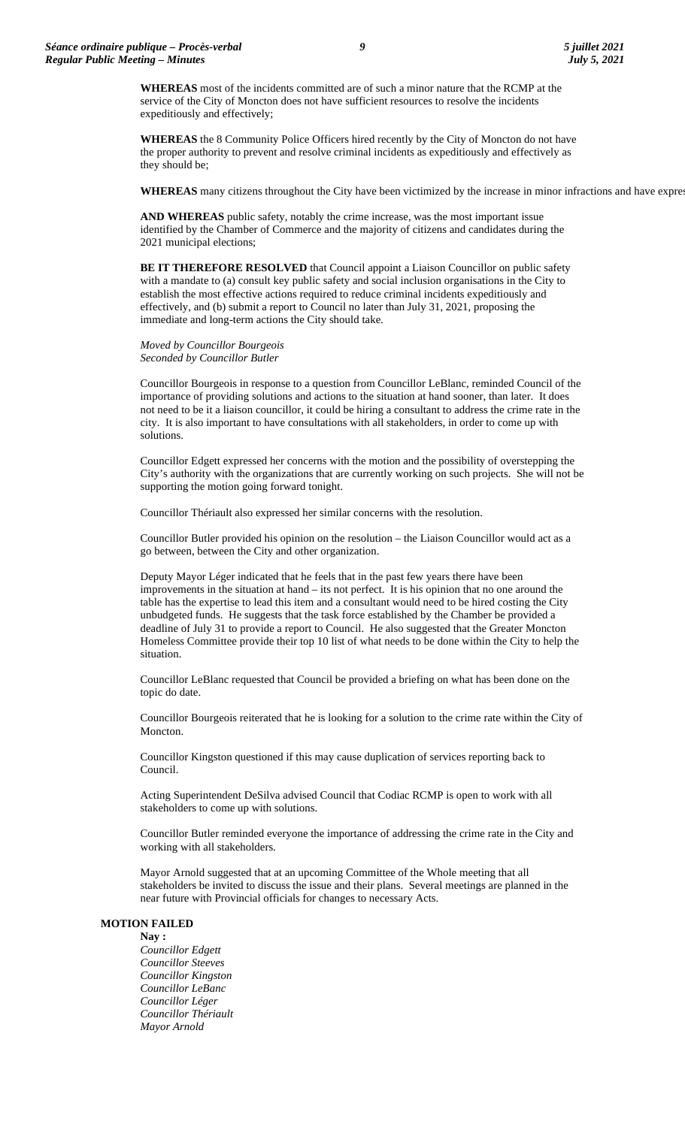**WHEREAS** most of the incidents committed are of such a minor nature that the RCMP at the service of the City of Moncton does not have sufficient resources to resolve the incidents expeditiously and effectively;

**WHEREAS** the 8 Community Police Officers hired recently by the City of Moncton do not have the proper authority to prevent and resolve criminal incidents as expeditiously and effectively as they should be;

**WHEREAS** many citizens throughout the City have been victimized by the increase in minor infractions and have expres

**AND WHEREAS** public safety, notably the crime increase, was the most important issue identified by the Chamber of Commerce and the majority of citizens and candidates during the 2021 municipal elections;

**BE IT THEREFORE RESOLVED** that Council appoint a Liaison Councillor on public safety with a mandate to (a) consult key public safety and social inclusion organisations in the City to establish the most effective actions required to reduce criminal incidents expeditiously and effectively, and (b) submit a report to Council no later than July 31, 2021, proposing the immediate and long-term actions the City should take.

*Moved by Councillor Bourgeois Seconded by Councillor Butler*

Councillor Bourgeois in response to a question from Councillor LeBlanc, reminded Council of the importance of providing solutions and actions to the situation at hand sooner, than later. It does not need to be it a liaison councillor, it could be hiring a consultant to address the crime rate in the city. It is also important to have consultations with all stakeholders, in order to come up with solutions.

Councillor Edgett expressed her concerns with the motion and the possibility of overstepping the City's authority with the organizations that are currently working on such projects. She will not be supporting the motion going forward tonight.

Councillor Thériault also expressed her similar concerns with the resolution.

Councillor Butler provided his opinion on the resolution – the Liaison Councillor would act as a go between, between the City and other organization.

Deputy Mayor Léger indicated that he feels that in the past few years there have been improvements in the situation at hand – its not perfect. It is his opinion that no one around the table has the expertise to lead this item and a consultant would need to be hired costing the City unbudgeted funds. He suggests that the task force established by the Chamber be provided a deadline of July 31 to provide a report to Council. He also suggested that the Greater Moncton Homeless Committee provide their top 10 list of what needs to be done within the City to help the situation.

Councillor LeBlanc requested that Council be provided a briefing on what has been done on the topic do date.

Councillor Bourgeois reiterated that he is looking for a solution to the crime rate within the City of Moncton.

Councillor Kingston questioned if this may cause duplication of services reporting back to Council.

Acting Superintendent DeSilva advised Council that Codiac RCMP is open to work with all stakeholders to come up with solutions.

Councillor Butler reminded everyone the importance of addressing the crime rate in the City and working with all stakeholders.

Mayor Arnold suggested that at an upcoming Committee of the Whole meeting that all stakeholders be invited to discuss the issue and their plans. Several meetings are planned in the near future with Provincial officials for changes to necessary Acts.

#### **MOTION FAILED**

**Nay :** *Councillor Edgett Councillor Steeves Councillor Kingston Councillor LeBanc Councillor Léger Councillor Thériault Mayor Arnold*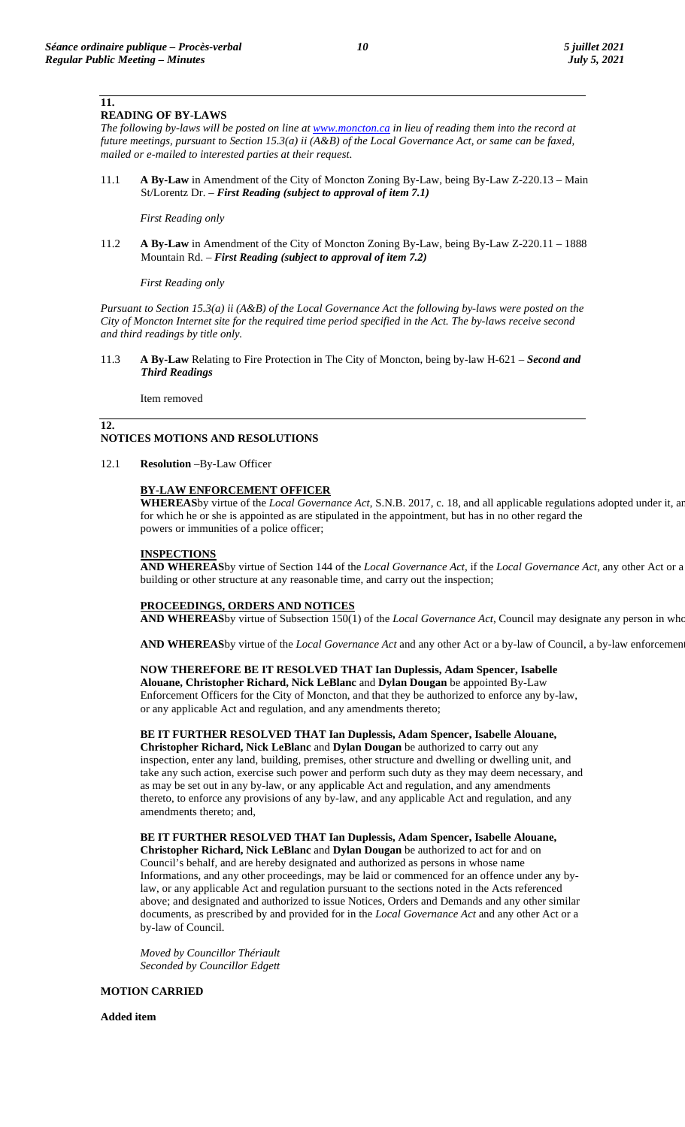**11.**

# **READING OF BY-LAWS**

*The following by-laws will be posted on line a[t www.moncton.ca](http://www.moncton.ca/) in lieu of reading them into the record at future meetings, pursuant to Section 15.3(a) ii (A&B) of the Local Governance Act, or same can be faxed, mailed or e-mailed to interested parties at their request*.

11.1 **A By-Law** in Amendment of the City of Moncton Zoning By-Law, being By-Law Z-220.13 – Main St/Lorentz Dr. – *First Reading (subject to approval of item 7.1)*

### *First Reading only*

11.2 **A By-Law** in Amendment of the City of Moncton Zoning By-Law, being By-Law Z-220.11 – 1888 Mountain Rd. – *First Reading (subject to approval of item 7.2)*

*First Reading only*

*Pursuant to Section 15.3(a) ii (A&B) of the Local Governance Act the following by-laws were posted on the City of Moncton Internet site for the required time period specified in the Act. The by-laws receive second and third readings by title only.*

11.3 **A By-Law** Relating to Fire Protection in The City of Moncton, being by-law H-621 – *Second and Third Readings*

Item removed

### **12. NOTICES MOTIONS AND RESOLUTIONS**

12.1 **Resolution** –By-Law Officer

## **BY-LAW ENFORCEMENT OFFICER**

**WHEREAS**by virtue of the *Local Governance Act*, S.N.B. 2017, c. 18, and all applicable regulations adopted under it, an for which he or she is appointed as are stipulated in the appointment, but has in no other regard the powers or immunities of a police officer;

# **INSPECTIONS**

**AND WHEREAS**by virtue of Section 144 of the *Local Governance Act*, if the *Local Governance Act,* any other Act or a building or other structure at any reasonable time, and carry out the inspection;

## **PROCEEDINGS, ORDERS AND NOTICES**

**AND WHEREAS**by virtue of Subsection 150(1) of the *Local Governance Act*, Council may designate any person in who

**AND WHEREAS**by virtue of the *Local Governance Act* and any other Act or a by-law of Council, a by-law enforcement

## **NOW THEREFORE BE IT RESOLVED THAT Ian Duplessis, Adam Spencer, Isabelle**

**Alouane, Christopher Richard, Nick LeBlanc** and **Dylan Dougan** be appointed By-Law Enforcement Officers for the City of Moncton, and that they be authorized to enforce any by-law, or any applicable Act and regulation, and any amendments thereto;

## **BE IT FURTHER RESOLVED THAT Ian Duplessis, Adam Spencer, Isabelle Alouane,**

**Christopher Richard, Nick LeBlanc** and **Dylan Dougan** be authorized to carry out any inspection, enter any land, building, premises, other structure and dwelling or dwelling unit, and take any such action, exercise such power and perform such duty as they may deem necessary, and as may be set out in any by-law, or any applicable Act and regulation, and any amendments thereto, to enforce any provisions of any by-law, and any applicable Act and regulation, and any amendments thereto; and,

**BE IT FURTHER RESOLVED THAT Ian Duplessis, Adam Spencer, Isabelle Alouane, Christopher Richard, Nick LeBlanc** and **Dylan Dougan** be authorized to act for and on Council's behalf, and are hereby designated and authorized as persons in whose name Informations, and any other proceedings, may be laid or commenced for an offence under any bylaw, or any applicable Act and regulation pursuant to the sections noted in the Acts referenced above; and designated and authorized to issue Notices, Orders and Demands and any other similar documents, as prescribed by and provided for in the *Local Governance Act* and any other Act or a by-law of Council.

*Moved by Councillor Thériault Seconded by Councillor Edgett*

## **MOTION CARRIED**

**Added item**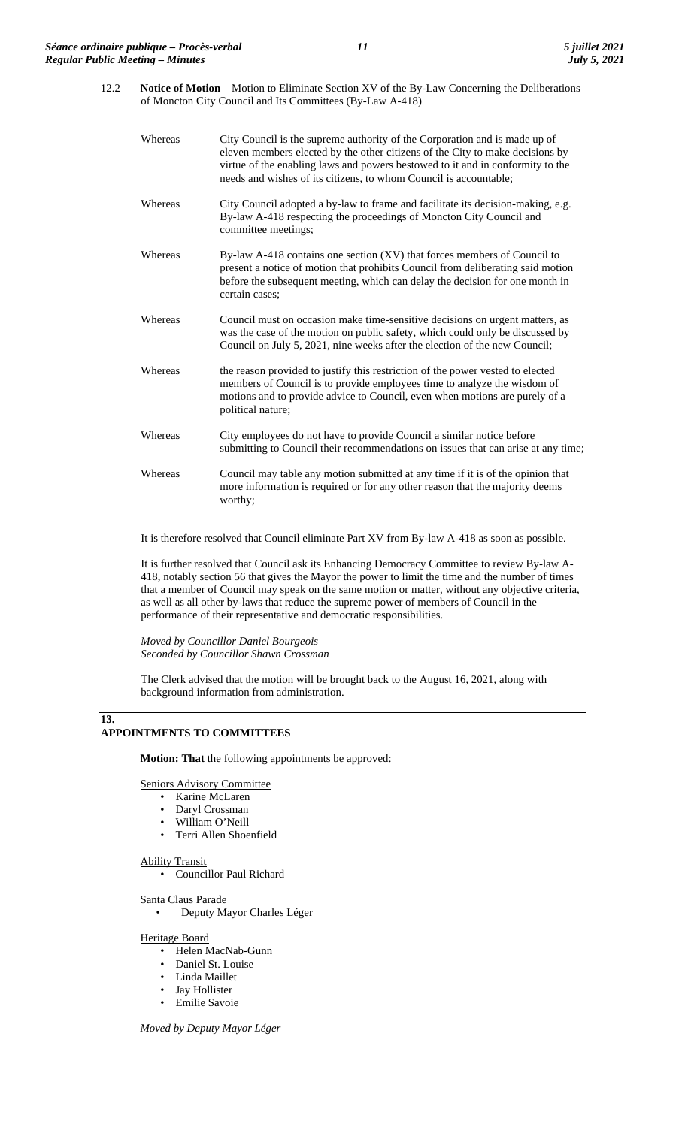12.2 **Notice of Motion** – Motion to Eliminate Section XV of the By-Law Concerning the Deliberations of Moncton City Council and Its Committees (By-Law A-418)

| Whereas | City Council is the supreme authority of the Corporation and is made up of<br>eleven members elected by the other citizens of the City to make decisions by<br>virtue of the enabling laws and powers bestowed to it and in conformity to the<br>needs and wishes of its citizens, to whom Council is accountable; |
|---------|--------------------------------------------------------------------------------------------------------------------------------------------------------------------------------------------------------------------------------------------------------------------------------------------------------------------|
| Whereas | City Council adopted a by-law to frame and facilitate its decision-making, e.g.<br>By-law A-418 respecting the proceedings of Moncton City Council and<br>committee meetings;                                                                                                                                      |
| Whereas | By-law A-418 contains one section $(XV)$ that forces members of Council to<br>present a notice of motion that prohibits Council from deliberating said motion<br>before the subsequent meeting, which can delay the decision for one month in<br>certain cases;                                                    |
| Whereas | Council must on occasion make time-sensitive decisions on urgent matters, as<br>was the case of the motion on public safety, which could only be discussed by<br>Council on July 5, 2021, nine weeks after the election of the new Council;                                                                        |
| Whereas | the reason provided to justify this restriction of the power vested to elected<br>members of Council is to provide employees time to analyze the wisdom of<br>motions and to provide advice to Council, even when motions are purely of a<br>political nature;                                                     |
| Whereas | City employees do not have to provide Council a similar notice before<br>submitting to Council their recommendations on issues that can arise at any time;                                                                                                                                                         |
| Whereas | Council may table any motion submitted at any time if it is of the opinion that<br>more information is required or for any other reason that the majority deems<br>worthy;                                                                                                                                         |
|         |                                                                                                                                                                                                                                                                                                                    |

It is therefore resolved that Council eliminate Part XV from By-law A-418 as soon as possible.

It is further resolved that Council ask its Enhancing Democracy Committee to review By-law A-418, notably section 56 that gives the Mayor the power to limit the time and the number of times that a member of Council may speak on the same motion or matter, without any objective criteria, as well as all other by-laws that reduce the supreme power of members of Council in the performance of their representative and democratic responsibilities.

*Moved by Councillor Daniel Bourgeois Seconded by Councillor Shawn Crossman*

The Clerk advised that the motion will be brought back to the August 16, 2021, along with background information from administration.

### **13. APPOINTMENTS TO COMMITTEES**

**Motion: That** the following appointments be approved:

Seniors Advisory Committee

- Karine McLaren
- Daryl Crossman
- William O'Neill
- Terri Allen Shoenfield

### Ability Transit

• Councillor Paul Richard

Santa Claus Parade

• Deputy Mayor Charles Léger

Heritage Board

- Helen MacNab-Gunn
- Daniel St. Louise
- Linda Maillet
- Jay Hollister
- Emilie Savoie

*Moved by Deputy Mayor Léger*